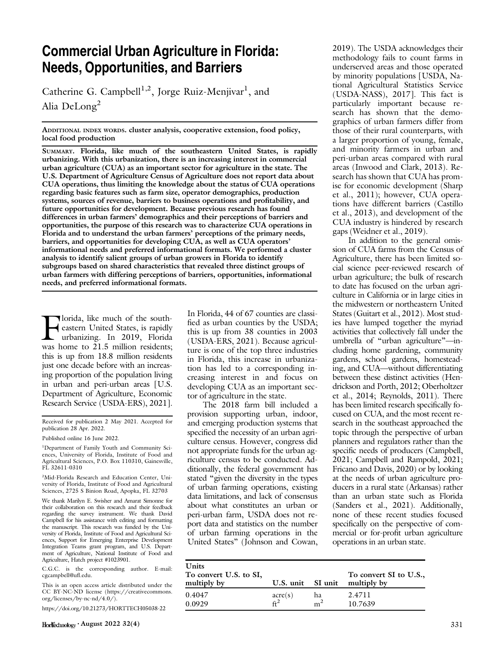# Commercial Urban Agriculture in Florida: Needs, Opportunities, and Barriers

Catherine G. Campbell<sup>1,2</sup>, Jorge Ruiz-Menjivar<sup>1</sup>, and Alia DeLong<sup>2</sup>

ADDITIONAL INDEX WORDS. cluster analysis, cooperative extension, food policy, local food production

SUMMARY. Florida, like much of the southeastern United States, is rapidly urbanizing. With this urbanization, there is an increasing interest in commercial urban agriculture (CUA) as an important sector for agriculture in the state. The U.S. Department of Agriculture Census of Agriculture does not report data about CUA operations, thus limiting the knowledge about the status of CUA operations regarding basic features such as farm size, operator demographics, production systems, sources of revenue, barriers to business operations and profitability, and future opportunities for development. Because previous research has found differences in urban farmers' demographics and their perceptions of barriers and opportunities, the purpose of this research was to characterize CUA operations in Florida and to understand the urban farmers' perceptions of the primary needs, barriers, and opportunities for developing CUA, as well as CUA operators' informational needs and preferred informational formats. We performed a cluster analysis to identify salient groups of urban growers in Florida to identify subgroups based on shared characteristics that revealed three distinct groups of urban farmers with differing perceptions of barriers, opportunities, informational needs, and preferred informational formats.

**Florida**, like much of the south-<br>eastern United States, is rapidly<br>urbanizing. In 2019, Florida<br>was home to 21.5 million residents: eastern United States, is rapidly urbanizing. In 2019, Florida was home to 21.5 million residents; this is up from 18.8 million residents just one decade before with an increasing proportion of the population living in urban and peri-urban areas [U.S. Department of Agriculture, Economic Research Service (USDA-ERS), 2021].

Received for publication 2 May 2021. Accepted for publication 28 Apr. 2022.

Published online 16 June 2022.

<sup>1</sup>Department of Family Youth and Community Sciences, University of Florida, Institute of Food and Agricultural Sciences, P.O. Box 110310, Gainesville, FL 32611-0310

2 Mid-Florida Research and Education Center, University of Florida, Institute of Food and Agricultural Sciences, 2725 S Binion Road, Apopka, FL 32703

We thank Marilyn E. Swisher and Amarat Simonne for their collaboration on this research and their feedback regarding the survey instrument. We thank David Campbell for his assistance with editing and formatting the manuscript. This research was funded by the University of Florida, Institute of Food and Agricultural Sciences, Support for Emerging Enterprise Development Integration Teams grant program, and U.S. Department of Agriculture, National Institute of Food and Agriculture, Hatch project #1023901.

C.G.C. is the corresponding author. E-mail: [cgcampbell@u](mailto:cgcampbell@ufl.edu)fl.edu.

This is an open access article distributed under the CC BY-NC-ND license ([https://creativecommons.](https://creativecommons.org/licenses/by-nc-nd/4.0/) [org/licenses/by-nc-nd/4.0/\)](https://creativecommons.org/licenses/by-nc-nd/4.0/).

<https://doi.org/10.21273/HORTTECH05038-22>

In Florida, 44 of 67 counties are classified as urban counties by the USDA; this is up from 38 counties in 2003 (USDA-ERS, 2021). Because agriculture is one of the top three industries in Florida, this increase in urbanization has led to a corresponding increasing interest in and focus on developing CUA as an important sector of agriculture in the state.

The 2018 farm bill included a provision supporting urban, indoor, and emerging production systems that specified the necessity of an urban agriculture census. However, congress did not appropriate funds for the urban agriculture census to be conducted. Additionally, the federal government has stated "given the diversity in the types of urban farming operations, existing data limitations, and lack of consensus about what constitutes an urban or peri-urban farm, USDA does not report data and statistics on the number of urban farming operations in the United States" (Johnson and Cowan, 2019). The USDA acknowledges their methodology fails to count farms in underserved areas and those operated by minority populations [USDA, National Agricultural Statistics Service (USDA-NASS), 2017]. This fact is particularly important because research has shown that the demographics of urban farmers differ from those of their rural counterparts, with a larger proportion of young, female, and minority farmers in urban and peri-urban areas compared with rural areas (Inwood and Clark, 2013). Research has shown that CUA has promise for economic development (Sharp et al., 2011); however, CUA operations have different barriers (Castillo et al., 2013), and development of the CUA industry is hindered by research gaps (Weidner et al., 2019).

In addition to the general omission of CUA farms from the Census of Agriculture, there has been limited social science peer-reviewed research of urban agriculture; the bulk of research to date has focused on the urban agriculture in California or in large cities in the midwestern or northeastern United States (Guitart et al., 2012). Most studies have lumped together the myriad activities that collectively fall under the umbrella of "urban agriculture"—including home gardening, community gardens, school gardens, homesteading, and CUA—without differentiating between these distinct activities (Hendrickson and Porth, 2012; Oberholtzer et al., 2014; Reynolds, 2011). There has been limited research specifically focused on CUA, and the most recent research in the southeast approached the topic through the perspective of urban planners and regulators rather than the specific needs of producers (Campbell, 2021; Campbell and Rampold, 2021; Fricano and Davis, 2020) or by looking at the needs of urban agriculture producers in a rural state (Arkansas) rather than an urban state such as Florida (Sanders et al., 2021). Additionally, none of these recent studies focused specifically on the perspective of commercial or for-profit urban agriculture operations in an urban state.

| <b>Units</b><br>To convert U.S. to SI,<br>multiply by | U.S. unit SI unit                    |                | To convert SI to U.S.,<br>multiply by |
|-------------------------------------------------------|--------------------------------------|----------------|---------------------------------------|
| 0.4047                                                | $\frac{\text{acre(s)}}{\text{ff}^2}$ | ha             | 2.4711                                |
| 0.0929                                                |                                      | m <sup>2</sup> | 10.7639                               |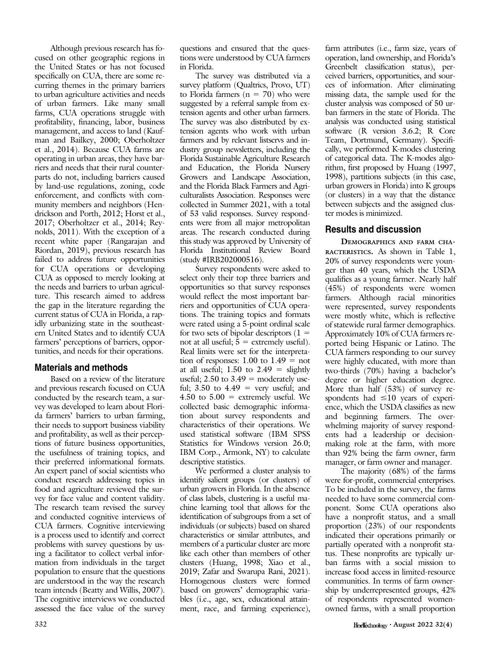Although previous research has focused on other geographic regions in the United States or has not focused specifically on CUA, there are some recurring themes in the primary barriers to urban agriculture activities and needs of urban farmers. Like many small farms, CUA operations struggle with profitability, financing, labor, business management, and access to land (Kaufman and Bailkey, 2000; Oberholtzer et al., 2014). Because CUA farms are operating in urban areas, they have barriers and needs that their rural counterparts do not, including barriers caused by land-use regulations, zoning, code enforcement, and conflicts with community members and neighbors (Hendrickson and Porth, 2012; Horst et al., 2017; Oberholtzer et al., 2014; Reynolds, 2011). With the exception of a recent white paper (Rangarajan and Riordan, 2019), previous research has failed to address future opportunities for CUA operations or developing CUA as opposed to merely looking at the needs and barriers to urban agriculture. This research aimed to address the gap in the literature regarding the current status of CUA in Florida, a rapidly urbanizing state in the southeastern United States and to identify CUA farmers' perceptions of barriers, opportunities, and needs for their operations.

#### Materials and methods

Based on a review of the literature and previous research focused on CUA conducted by the research team, a survey was developed to learn about Florida farmers' barriers to urban farming, their needs to support business viability and profitability, as well as their perceptions of future business opportunities, the usefulness of training topics, and their preferred informational formats. An expert panel of social scientists who conduct research addressing topics in food and agriculture reviewed the survey for face value and content validity. The research team revised the survey and conducted cognitive interviews of CUA farmers. Cognitive interviewing is a process used to identify and correct problems with survey questions by using a facilitator to collect verbal information from individuals in the target population to ensure that the questions are understood in the way the research team intends (Beatty and Willis, 2007). The cognitive interviews we conducted assessed the face value of the survey

questions and ensured that the questions were understood by CUA farmers in Florida.

The survey was distributed via a survey platform (Qualtrics, Provo, UT) to Florida farmers ( $n = 70$ ) who were suggested by a referral sample from extension agents and other urban farmers. The survey was also distributed by extension agents who work with urban farmers and by relevant listservs and industry group newsletters, including the Florida Sustainable Agriculture Research and Education, the Florida Nursery Growers and Landscape Association, and the Florida Black Farmers and Agriculturalists Association. Responses were collected in Summer 2021, with a total of 53 valid responses. Survey respondents were from all major metropolitan areas. The research conducted during this study was approved by University of Florida Institutional Review Board (study #IRB202000516).

Survey respondents were asked to select only their top three barriers and opportunities so that survey responses would reflect the most important barriers and opportunities of CUA operations. The training topics and formats were rated using a 5-point ordinal scale for two sets of bipolar descriptors  $(1 =$ not at all useful;  $5 =$  extremely useful). Real limits were set for the interpretation of responses:  $1.00$  to  $1.49$  = not at all useful;  $1.50$  to  $2.49$  = slightly useful; 2.50 to  $3.49$  = moderately useful; 3.50 to  $4.49$  = very useful; and 4.50 to  $5.00 =$  extremely useful. We collected basic demographic information about survey respondents and characteristics of their operations. We used statistical software (IBM SPSS Statistics for Windows version 26.0; IBM Corp., Armonk, NY) to calculate descriptive statistics.

We performed a cluster analysis to identify salient groups (or clusters) of urban growers in Florida. In the absence of class labels, clustering is a useful machine learning tool that allows for the identification of subgroups from a set of individuals (or subjects) based on shared characteristics or similar attributes, and members of a particular cluster are more like each other than members of other clusters (Huang, 1998; Xiao et al., 2019; Zafar and Swarupa Rani, 2021). Homogenous clusters were formed based on growers' demographic variables (i.e., age, sex, educational attainment, race, and farming experience),

farm attributes (i.e., farm size, years of operation, land ownership, and Florida's Greenbelt classification status), perceived barriers, opportunities, and sources of information. After eliminating missing data, the sample used for the cluster analysis was composed of 50 urban farmers in the state of Florida. The analysis was conducted using statistical software (R version 3.6.2; R Core Team, Dortmund, Germany). Specifically, we performed K-modes clustering of categorical data. The K-modes algorithm, first proposed by Huang (1997, 1998), partitions subjects (in this case, urban growers in Florida) into K groups (or clusters) in a way that the distance between subjects and the assigned cluster modes is minimized.

### Results and discussion

DEMOGRAPHICS AND FARM CHA-RACTERISTICS. As shown in Table 1, 20% of survey respondents were younger than 40 years, which the USDA qualifies as a young farmer. Nearly half (45%) of respondents were women farmers. Although racial minorities were represented, survey respondents were mostly white, which is reflective of statewide rural farmer demographics. Approximately 10% of CUA farmers reported being Hispanic or Latino. The CUA farmers responding to our survey were highly educated, with more than two-thirds (70%) having a bachelor's degree or higher education degree. More than half (53%) of survey respondents had  $\leq 10$  years of experience, which the USDA classifies as new and beginning farmers. The overwhelming majority of survey respondents had a leadership or decisionmaking role at the farm, with more than 92% being the farm owner, farm manager, or farm owner and manager.

The majority (68%) of the farms were for-profit, commercial enterprises. To be included in the survey, the farms needed to have some commercial component. Some CUA operations also have a nonprofit status, and a small proportion (23%) of our respondents indicated their operations primarily or partially operated with a nonprofit status. These nonprofits are typically urban farms with a social mission to increase food access in limited-resource communities. In terms of farm ownership by underrepresented groups, 42% of respondents represented womenowned farms, with a small proportion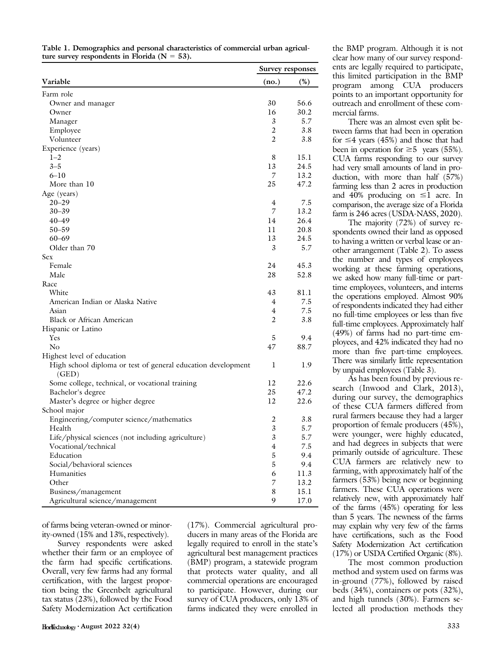| Table 1. Demographics and personal characteristics of commercial urban agricul- |  |
|---------------------------------------------------------------------------------|--|
| ture survey respondents in Florida ( $N = 53$ ).                                |  |

|                                                                       | Survey responses |      |
|-----------------------------------------------------------------------|------------------|------|
| Variable                                                              | (no.)            | (%)  |
| Farm role                                                             |                  |      |
| Owner and manager                                                     | 30               | 56.6 |
| Owner                                                                 | 16               | 30.2 |
| Manager                                                               | 3                | 5.7  |
| Employee                                                              | 2                | 3.8  |
| Volunteer                                                             | 2                | 3.8  |
| Experience (years)                                                    |                  |      |
| $1 - 2$                                                               | 8                | 15.1 |
| $3 - 5$                                                               | 13               | 24.5 |
| $6 - 10$                                                              | 7                | 13.2 |
| More than 10                                                          | 25               | 47.2 |
| Age (years)                                                           |                  |      |
| $20 - 29$                                                             | 4                | 7.5  |
| $30 - 39$                                                             | 7                | 13.2 |
| $40 - 49$                                                             | 14               | 26.4 |
| $50 - 59$                                                             | 11               | 20.8 |
| $60 - 69$                                                             | 13               | 24.5 |
| Older than 70                                                         | 3                | 5.7  |
| Sex                                                                   |                  |      |
| Female                                                                | 24               | 45.3 |
| Male                                                                  | 28               | 52.8 |
| Race                                                                  |                  |      |
| White                                                                 | 43               | 81.1 |
| American Indian or Alaska Native                                      | 4                | 7.5  |
| Asian                                                                 | $\overline{4}$   | 7.5  |
| Black or African American                                             | $\overline{c}$   | 3.8  |
| Hispanic or Latino                                                    |                  |      |
| <b>Yes</b>                                                            | 5                | 9.4  |
| No                                                                    | 47               | 88.7 |
| Highest level of education                                            |                  |      |
| High school diploma or test of general education development<br>(GED) | 1                | 1.9  |
| Some college, technical, or vocational training                       | 12               | 22.6 |
| Bachelor's degree                                                     | 25               | 47.2 |
| Master's degree or higher degree                                      | 12               | 22.6 |
| School major                                                          |                  |      |
| Engineering/computer science/mathematics                              | 2                | 3.8  |
| Health                                                                | 3                | 5.7  |
| Life/physical sciences (not including agriculture)                    | 3                | 5.7  |
| Vocational/technical                                                  | 4                | 7.5  |
| Education                                                             | 5                | 9.4  |
| Social/behavioral sciences                                            | 5                | 9.4  |
| Humanities                                                            | 6                | 11.3 |
| Other                                                                 | 7                | 13.2 |
| Business/management                                                   | 8                | 15.1 |
| Agricultural science/management                                       | 9                | 17.0 |
|                                                                       |                  |      |

of farms being veteran-owned or minority-owned (15% and 13%, respectively).

Survey respondents were asked whether their farm or an employee of the farm had specific certifications. Overall, very few farms had any formal certification, with the largest proportion being the Greenbelt agricultural tax status (23%), followed by the Food Safety Modernization Act certification (17%). Commercial agricultural producers in many areas of the Florida are legally required to enroll in the state's agricultural best management practices (BMP) program, a statewide program that protects water quality, and all commercial operations are encouraged to participate. However, during our survey of CUA producers, only 13% of farms indicated they were enrolled in the BMP program. Although it is not clear how many of our survey respondents are legally required to participate, this limited participation in the BMP program among CUA producers points to an important opportunity for outreach and enrollment of these commercial farms.

There was an almost even split between farms that had been in operation for  $\leq$ 4 years (45%) and those that had been in operation for  $\geq 5$  years (55%). CUA farms responding to our survey had very small amounts of land in production, with more than half (57%) farming less than 2 acres in production and 40% producing on  $\leq$ 1 acre. In comparison, the average size of a Florida farm is 246 acres (USDA-NASS, 2020).

The majority (72%) of survey respondents owned their land as opposed to having a written or verbal lease or another arrangement (Table 2). To assess the number and types of employees working at these farming operations, we asked how many full-time or parttime employees, volunteers, and interns the operations employed. Almost 90% of respondents indicated they had either no full-time employees or less than five full-time employees. Approximately half (49%) of farms had no part-time employees, and 42% indicated they had no more than five part-time employees. There was similarly little representation by unpaid employees (Table 3).

As has been found by previous research (Inwood and Clark, 2013), during our survey, the demographics of these CUA farmers differed from rural farmers because they had a larger proportion of female producers (45%), were younger, were highly educated, and had degrees in subjects that were primarily outside of agriculture. These CUA farmers are relatively new to farming, with approximately half of the farmers (53%) being new or beginning farmers. These CUA operations were relatively new, with approximately half of the farms (45%) operating for less than 5 years. The newness of the farms may explain why very few of the farms have certifications, such as the Food Safety Modernization Act certification (17%) or USDA Certified Organic (8%).

The most common production method and system used on farms was in-ground (77%), followed by raised beds (34%), containers or pots (32%), and high tunnels (30%). Farmers selected all production methods they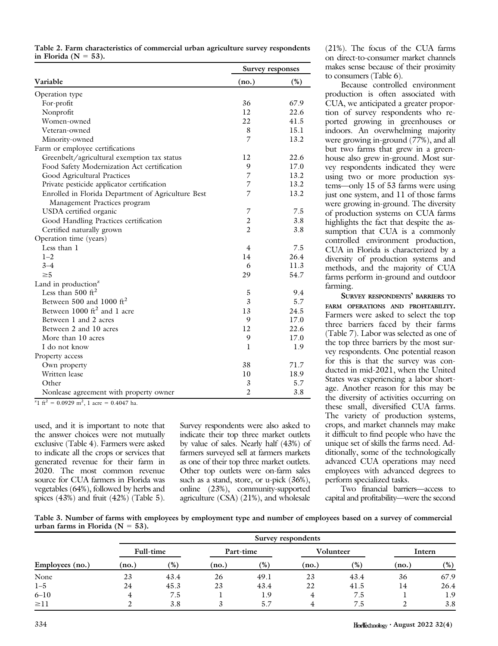|                          | Table 2. Farm characteristics of commercial urban agriculture survey respondents |  |  |  |
|--------------------------|----------------------------------------------------------------------------------|--|--|--|
| in Florida ( $N = 53$ ). |                                                                                  |  |  |  |

|                                                    |                | Survey responses |
|----------------------------------------------------|----------------|------------------|
| Variable                                           | (no.)          | (%)              |
| Operation type                                     |                |                  |
| For-profit                                         | 36             | 67.9             |
| Nonprofit                                          | 12             | 22.6             |
| Women-owned                                        | 22             | 41.5             |
| Veteran-owned                                      | 8              | 15.1             |
| Minority-owned                                     | 7              | 13.2             |
| Farm or employee certifications                    |                |                  |
| Greenbelt/agricultural exemption tax status        | 12             | 22.6             |
| Food Safety Modernization Act certification        | 9              | 17.0             |
| Good Agricultural Practices                        | 7              | 13.2             |
| Private pesticide applicator certification         | 7              | 13.2             |
| Enrolled in Florida Department of Agriculture Best | 7              | 13.2             |
| Management Practices program                       |                |                  |
| USDA certified organic                             | 7              | 7.5              |
| Good Handling Practices certification              | $\overline{2}$ | 3.8              |
| Certified naturally grown                          | $\overline{c}$ | 3.8              |
| Operation time (years)                             |                |                  |
| Less than 1                                        | 4              | 7.5              |
| $1 - 2$                                            | 14             | 26.4             |
| $3 - 4$                                            | 6              | 11.3             |
| $\geq 5$                                           | 29             | 54.7             |
| Land in production <sup>z</sup>                    |                |                  |
| Less than $500 \text{ ft}^2$                       | 5              | 9.4              |
| Between 500 and 1000 $\text{ft}^2$                 | 3              | 5.7              |
| Between $1000 \text{ ft}^2$ and 1 acre             | 13             | 24.5             |
| Between 1 and 2 acres                              | 9              | 17.0             |
| Between 2 and 10 acres                             | 12             | 22.6             |
| More than 10 acres                                 | 9              | 17.0             |
| I do not know                                      | 1              | 1.9              |
| Property access                                    |                |                  |
| Own property                                       | 38             | 71.7             |
| Written lease                                      | 10             | 18.9             |
| Other                                              | 3              | 5.7              |
| Nonlease agreement with property owner             | $\overline{2}$ | 3.8              |

<sup>z</sup>1 ft<sup>2</sup> = 0.0929 m<sup>2</sup>, 1 acre = 0.4047 ha.

used, and it is important to note that the answer choices were not mutually exclusive (Table 4). Farmers were asked to indicate all the crops or services that generated revenue for their farm in 2020. The most common revenue source for CUA farmers in Florida was vegetables (64%), followed by herbs and spices  $(43%)$  and fruit  $(42%)$  (Table 5). Survey respondents were also asked to indicate their top three market outlets by value of sales. Nearly half (43%) of farmers surveyed sell at farmers markets as one of their top three market outlets. Other top outlets were on-farm sales such as a stand, store, or u-pick (36%), online (23%), community-supported agriculture (CSA) (21%), and wholesale

(21%). The focus of the CUA farms on direct-to-consumer market channels makes sense because of their proximity to consumers (Table 6).

Because controlled environment production is often associated with CUA, we anticipated a greater proportion of survey respondents who reported growing in greenhouses or indoors. An overwhelming majority were growing in-ground (77%), and all but two farms that grew in a greenhouse also grew in-ground. Most survey respondents indicated they were using two or more production systems—only 15 of 53 farms were using just one system, and 11 of those farms were growing in-ground. The diversity of production systems on CUA farms highlights the fact that despite the assumption that CUA is a commonly controlled environment production, CUA in Florida is characterized by a diversity of production systems and methods, and the majority of CUA farms perform in-ground and outdoor farming.

SURVEY RESPONDENTS' BARRIERS TO FARM OPERATIONS AND PROFITABILITY. Farmers were asked to select the top three barriers faced by their farms (Table 7). Labor was selected as one of the top three barriers by the most survey respondents. One potential reason for this is that the survey was conducted in mid-2021, when the United States was experiencing a labor shortage. Another reason for this may be the diversity of activities occurring on these small, diversified CUA farms. The variety of production systems, crops, and market channels may make it difficult to find people who have the unique set of skills the farms need. Additionally, some of the technologically advanced CUA operations may need employees with advanced degrees to perform specialized tasks.

Two financial barriers—access to capital and profitability—were the second

Table 3. Number of farms with employees by employment type and number of employees based on a survey of commercial urban farms in Florida ( $N = 53$ ).

|                 |           |      |       |           | Survey respondents |           |       |        |
|-----------------|-----------|------|-------|-----------|--------------------|-----------|-------|--------|
|                 | Full-time |      |       | Part-time |                    | Volunteer |       | Intern |
| Employees (no.) | (no.)     | (%)  | (no.) | (%)       | (no.)              | $(\%)$    | (no.) | $(\%)$ |
| None            | 23        | 43.4 | 26    | 49.1      | 23                 | 43.4      | 36    | 67.9   |
| $1 - 5$         | 24        | 45.3 | 23    | 43.4      | 22                 | 41.5      | 14    | 26.4   |
| $6 - 10$        | 4         | 7.5  |       | 1.9       | 4                  | 7.5       |       | 1.9    |
| $\geq$ 11       |           | 3.8  |       | 5.7       |                    | 7.5       |       | 3.8    |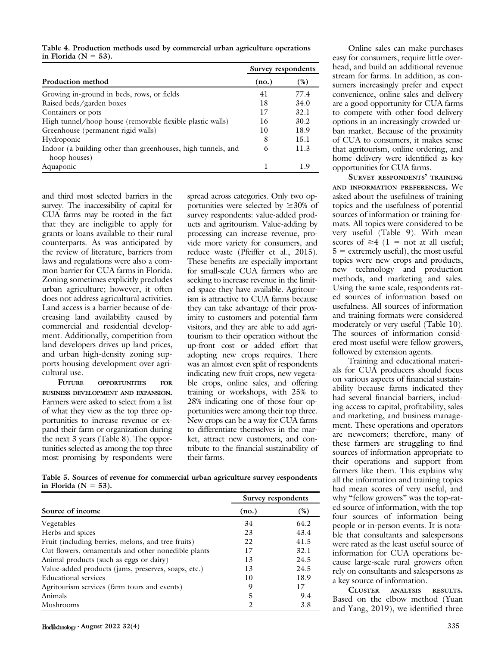Table 4. Production methods used by commercial urban agriculture operations in Florida ( $N = 53$ ).

|                                                              | Survey respondents |      |
|--------------------------------------------------------------|--------------------|------|
| Production method                                            | (no.)              | (%)  |
| Growing in-ground in beds, rows, or fields                   | 41                 | 77.4 |
| Raised beds/garden boxes                                     | 18                 | 34.0 |
| Containers or pots                                           | 17                 | 32.1 |
| High tunnel/hoop house (removable flexible plastic walls)    | 16                 | 30.2 |
| Greenhouse (permanent rigid walls)                           | 10                 | 18.9 |
| Hydroponic                                                   | 8                  | 15.1 |
| Indoor (a building other than greenhouses, high tunnels, and | 6                  | 11.3 |
| hoop houses)                                                 |                    |      |
| Aquaponic                                                    |                    | 19   |

and third most selected barriers in the survey. The inaccessibility of capital for CUA farms may be rooted in the fact that they are ineligible to apply for grants or loans available to their rural counterparts. As was anticipated by the review of literature, barriers from laws and regulations were also a common barrier for CUA farms in Florida. Zoning sometimes explicitly precludes urban agriculture; however, it often does not address agricultural activities. Land access is a barrier because of decreasing land availability caused by commercial and residential development. Additionally, competition from land developers drives up land prices, and urban high-density zoning supports housing development over agricultural use.

OPPORTUNITIES FOR BUSINESS DEVELOPMENT AND EXPANSION. Farmers were asked to select from a list of what they view as the top three opportunities to increase revenue or expand their farm or organization during the next 3 years (Table 8). The opportunities selected as among the top three most promising by respondents were

spread across categories. Only two opportunities were selected by  $\geq 30\%$  of survey respondents: value-added products and agritourism. Value-adding by processing can increase revenue, provide more variety for consumers, and reduce waste (Pfeiffer et al., 2015). These benefits are especially important for small-scale CUA farmers who are seeking to increase revenue in the limited space they have available. Agritourism is attractive to CUA farms because they can take advantage of their proximity to customers and potential farm visitors, and they are able to add agritourism to their operation without the up-front cost or added effort that adopting new crops requires. There was an almost even split of respondents indicating new fruit crops, new vegetable crops, online sales, and offering training or workshops, with 25% to 28% indicating one of those four opportunities were among their top three. New crops can be a way for CUA farms to differentiate themselves in the market, attract new customers, and contribute to the financial sustainability of their farms.

Table 5. Sources of revenue for commercial urban agriculture survey respondents in Florida ( $N = 53$ ).

|                                                     | Survey respondents |      |
|-----------------------------------------------------|--------------------|------|
| Source of income                                    | (no.)              | (%)  |
| Vegetables                                          | 34                 | 64.2 |
| Herbs and spices                                    | 23                 | 43.4 |
| Fruit (including berries, melons, and tree fruits)  | 22                 | 41.5 |
| Cut flowers, ornamentals and other nonedible plants | 17                 | 32.1 |
| Animal products (such as eggs or dairy)             | 13                 | 24.5 |
| Value-added products (jams, preserves, soaps, etc.) | 13                 | 24.5 |
| <b>Educational services</b>                         | 10                 | 18.9 |
| Agritourism services (farm tours and events)        | 9                  | 17   |
| Animals                                             | 5                  | 9.4  |
| Mushrooms                                           | $\mathfrak{D}$     | 3.8  |

very useful (Table 9). With mean scores of  $\geq 4$  (1 = not at all useful;  $5 =$  extremely useful), the most useful topics were new crops and products, new technology and production methods, and marketing and sales. Using the same scale, respondents rated sources of information based on usefulness. All sources of information and training formats were considered moderately or very useful (Table 10).

> followed by extension agents. Training and educational materials for CUA producers should focus on various aspects of financial sustainability because farms indicated they had several financial barriers, including access to capital, profitability, sales and marketing, and business management. These operations and operators are newcomers; therefore, many of these farmers are struggling to find sources of information appropriate to their operations and support from farmers like them. This explains why all the information and training topics had mean scores of very useful, and why "fellow growers" was the top-rated source of information, with the top four sources of information being people or in-person events. It is notable that consultants and salespersons were rated as the least useful source of information for CUA operations because large-scale rural growers often rely on consultants and salespersons as a key source of information.

> The sources of information considered most useful were fellow growers,

> Online sales can make purchases easy for consumers, require little overhead, and build an additional revenue stream for farms. In addition, as consumers increasingly prefer and expect convenience, online sales and delivery are a good opportunity for CUA farms to compete with other food delivery options in an increasingly crowded urban market. Because of the proximity of CUA to consumers, it makes sense that agritourism, online ordering, and home delivery were identified as key

> SURVEY RESPONDENTS' TRAINING AND INFORMATION PREFERENCES. We asked about the usefulness of training topics and the usefulness of potential sources of information or training formats. All topics were considered to be

opportunities for CUA farms.

CLUSTER ANALYSIS RESULTS. Based on the elbow method (Yuan and Yang, 2019), we identified three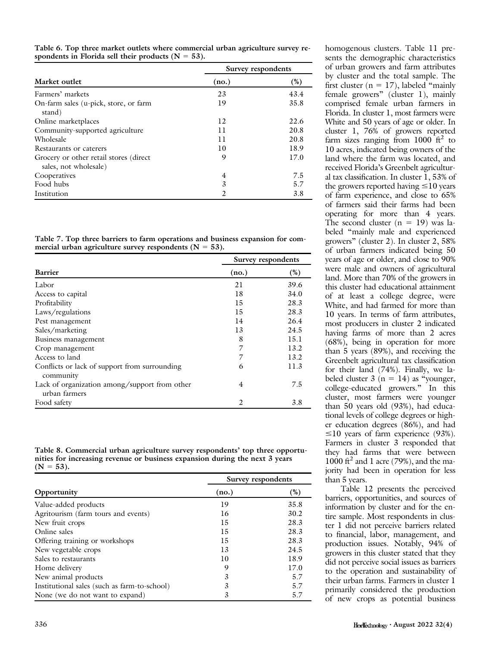Table 6. Top three market outlets where commercial urban agriculture survey respondents in Florida sell their products ( $N = 53$ ).

|                                                                  | Survey respondents |      |
|------------------------------------------------------------------|--------------------|------|
| Market outlet                                                    | (no.)              | (%)  |
| Farmers' markets                                                 | 23                 | 43.4 |
| On-farm sales (u-pick, store, or farm<br>stand)                  | 19                 | 35.8 |
| Online marketplaces                                              | 12                 | 22.6 |
| Community-supported agriculture                                  | 11                 | 20.8 |
| Wholesale                                                        | 11                 | 20.8 |
| Restaurants or caterers                                          | 10                 | 18.9 |
| Grocery or other retail stores (direct)<br>sales, not wholesale) | 9                  | 17.0 |
| Cooperatives                                                     | 4                  | 7.5  |
| Food hubs                                                        | 3                  | 5.7  |
| Institution                                                      | $\overline{2}$     | 3.8  |

Table 7. Top three barriers to farm operations and business expansion for commercial urban agriculture survey respondents ( $N = 53$ ).

|                                                                | Survey respondents |        |
|----------------------------------------------------------------|--------------------|--------|
| <b>Barrier</b>                                                 | (no.)              | $(\%)$ |
| Labor                                                          | 21                 | 39.6   |
| Access to capital                                              | 18                 | 34.0   |
| Profitability                                                  | 15                 | 28.3   |
| Laws/regulations                                               | 15                 | 28.3   |
| Pest management                                                | 14                 | 26.4   |
| Sales/marketing                                                | 13                 | 24.5   |
| Business management                                            | 8                  | 15.1   |
| Crop management                                                | 7                  | 13.2   |
| Access to land                                                 | 7                  | 13.2   |
| Conflicts or lack of support from surrounding<br>community     | 6                  | 11.3   |
| Lack of organization among/support from other<br>urban farmers | $\overline{4}$     | 7.5    |
| Food safety                                                    | 2                  | 3.8    |

Table 8. Commercial urban agriculture survey respondents' top three opportunities for increasing revenue or business expansion during the next 3 years  $(N = 53)$ .

|                                              | Survey respondents |      |
|----------------------------------------------|--------------------|------|
| Opportunity                                  | (no.)              | (%)  |
| Value-added products                         | 19                 | 35.8 |
| Agritourism (farm tours and events)          | 16                 | 30.2 |
| New fruit crops                              | 15                 | 28.3 |
| Online sales                                 | 15                 | 28.3 |
| Offering training or workshops               | 15                 | 28.3 |
| New vegetable crops                          | 13                 | 24.5 |
| Sales to restaurants                         | 10                 | 18.9 |
| Home delivery                                | 9                  | 17.0 |
| New animal products                          | 3                  | 5.7  |
| Institutional sales (such as farm-to-school) | 3                  | 5.7  |
| None (we do not want to expand)              | 3                  | 5.7  |

homogenous clusters. Table 11 presents the demographic characteristics of urban growers and farm attributes by cluster and the total sample. The first cluster ( $n = 17$ ), labeled "mainly" female growers" (cluster 1), mainly comprised female urban farmers in Florida. In cluster 1, most farmers were White and 50 years of age or older. In cluster 1, 76% of growers reported farm sizes ranging from  $1000 \text{ ft}^2$  to 10 acres, indicated being owners of the land where the farm was located, and received Florida's Greenbelt agricultural tax classification. In cluster 1, 53% of the growers reported having  $\leq 10$  years of farm experience, and close to 65% of farmers said their farms had been operating for more than 4 years. The second cluster  $(n = 19)$  was labeled "mainly male and experienced growers" (cluster 2). In cluster 2, 58% of urban farmers indicated being 50 years of age or older, and close to 90% were male and owners of agricultural land. More than 70% of the growers in this cluster had educational attainment of at least a college degree, were White, and had farmed for more than 10 years. In terms of farm attributes, most producers in cluster 2 indicated having farms of more than 2 acres (68%), being in operation for more than 5 years (89%), and receiving the Greenbelt agricultural tax classification for their land (74%). Finally, we labeled cluster  $3$  (n = 14) as "younger, college-educated growers." In this cluster, most farmers were younger than 50 years old (93%), had educational levels of college degrees or higher education degrees (86%), and had  $\leq$ 10 years of farm experience (93%). Farmers in cluster 3 responded that they had farms that were between 1000 ft<sup>2</sup> and 1 acre (79%), and the majority had been in operation for less than 5 years.

Table 12 presents the perceived barriers, opportunities, and sources of information by cluster and for the entire sample. Most respondents in cluster 1 did not perceive barriers related to financial, labor, management, and production issues. Notably, 94% of growers in this cluster stated that they did not perceive social issues as barriers to the operation and sustainability of their urban farms. Farmers in cluster 1 primarily considered the production of new crops as potential business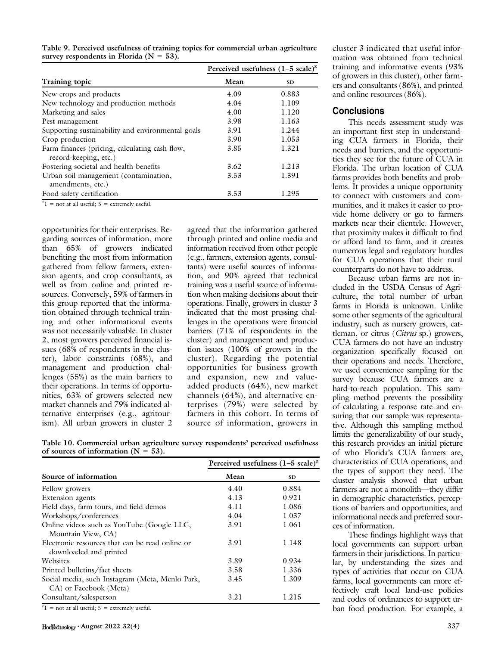|                                                                         | Perceived usefulness $(1-5 \text{ scale})^2$ |           |  |
|-------------------------------------------------------------------------|----------------------------------------------|-----------|--|
| Training topic                                                          | Mean                                         | <b>SD</b> |  |
| New crops and products                                                  | 4.09                                         | 0.883     |  |
| New technology and production methods                                   | 4.04                                         | 1.109     |  |
| Marketing and sales                                                     | 4.00                                         | 1.120     |  |
| Pest management                                                         | 3.98                                         | 1.163     |  |
| Supporting sustainability and environmental goals                       | 3.91                                         | 1.244     |  |
| Crop production                                                         | 3.90                                         | 1.053     |  |
| Farm finances (pricing, calculating cash flow,<br>record-keeping, etc.) | 3.85                                         | 1.321     |  |
| Fostering societal and health benefits                                  | 3.62                                         | 1.213     |  |
| Urban soil management (contamination,<br>amendments, etc.)              | 3.53                                         | 1.391     |  |
| Food safety certification                                               | 3.53                                         | 1.295     |  |

Table 9. Perceived usefulness of training topics for commercial urban agriculture survey respondents in Florida ( $N = 53$ ).

 $z_1$  = not at all useful; 5 = extremely useful.

opportunities for their enterprises. Regarding sources of information, more than 65% of growers indicated benefiting the most from information gathered from fellow farmers, extension agents, and crop consultants, as well as from online and printed resources. Conversely, 59% of farmers in this group reported that the information obtained through technical training and other informational events was not necessarily valuable. In cluster 2, most growers perceived financial issues (68% of respondents in the cluster), labor constraints (68%), and management and production challenges (55%) as the main barriers to their operations. In terms of opportunities, 63% of growers selected new market channels and 79% indicated alternative enterprises (e.g., agritourism). All urban growers in cluster 2

agreed that the information gathered through printed and online media and information received from other people (e.g., farmers, extension agents, consultants) were useful sources of information, and 90% agreed that technical training was a useful source of information when making decisions about their operations. Finally, growers in cluster 3 indicated that the most pressing challenges in the operations were financial barriers (71% of respondents in the cluster) and management and production issues (100% of growers in the cluster). Regarding the potential opportunities for business growth and expansion, new and valueadded products (64%), new market channels (64%), and alternative enterprises (79%) were selected by farmers in this cohort. In terms of source of information, growers in

Table 10. Commercial urban agriculture survey respondents' perceived usefulness of sources of information ( $N = 53$ ).

|                                                                           | Perceived usefulness $(1-5 \text{ scale})^z$ |           |
|---------------------------------------------------------------------------|----------------------------------------------|-----------|
| Source of information                                                     | Mean                                         | <b>SD</b> |
| Fellow growers                                                            | 4.40                                         | 0.884     |
| Extension agents                                                          | 4.13                                         | 0.921     |
| Field days, farm tours, and field demos                                   | 4.11                                         | 1.086     |
| Workshops/conferences                                                     | 4.04                                         | 1.037     |
| Online videos such as YouTube (Google LLC,<br>Mountain View, CA)          | 3.91                                         | 1.061     |
| Electronic resources that can be read online or<br>downloaded and printed | 3.91                                         | 1.148     |
| Websites                                                                  | 3.89                                         | 0.934     |
| Printed bulletins/fact sheets                                             | 3.58                                         | 1.336     |
| Social media, such Instagram (Meta, Menlo Park,<br>CA) or Facebook (Meta) | 3.45                                         | 1.309     |
| Consultant/salesperson                                                    | 3.21                                         | 1.215     |
| $z_1 = \text{not}$ of all useful: $z = \text{outramaly model}$            |                                              |           |

 $1 =$  not at all useful;  $5 =$  extremely useful.

cluster 3 indicated that useful information was obtained from technical training and informative events (93% of growers in this cluster), other farmers and consultants (86%), and printed and online resources (86%).

#### **Conclusions**

This needs assessment study was an important first step in understanding CUA farmers in Florida, their needs and barriers, and the opportunities they see for the future of CUA in Florida. The urban location of CUA farms provides both benefits and problems. It provides a unique opportunity to connect with customers and communities, and it makes it easier to provide home delivery or go to farmers markets near their clientele. However, that proximity makes it difficult to find or afford land to farm, and it creates numerous legal and regulatory hurdles for CUA operations that their rural counterparts do not have to address.

Because urban farms are not included in the USDA Census of Agriculture, the total number of urban farms in Florida is unknown. Unlike some other segments of the agricultural industry, such as nursery growers, cattleman, or citrus (Citrus sp.) growers, CUA farmers do not have an industry organization specifically focused on their operations and needs. Therefore, we used convenience sampling for the survey because CUA farmers are a hard-to-reach population. This sampling method prevents the possibility of calculating a response rate and ensuring that our sample was representative. Although this sampling method limits the generalizability of our study, this research provides an initial picture of who Florida's CUA farmers are, characteristics of CUA operations, and the types of support they need. The cluster analysis showed that urban farmers are not a monolith—they differ in demographic characteristics, perceptions of barriers and opportunities, and informational needs and preferred sources of information.

These findings highlight ways that local governments can support urban farmers in their jurisdictions. In particular, by understanding the sizes and types of activities that occur on CUA farms, local governments can more effectively craft local land-use policies and codes of ordinances to support urban food production. For example, a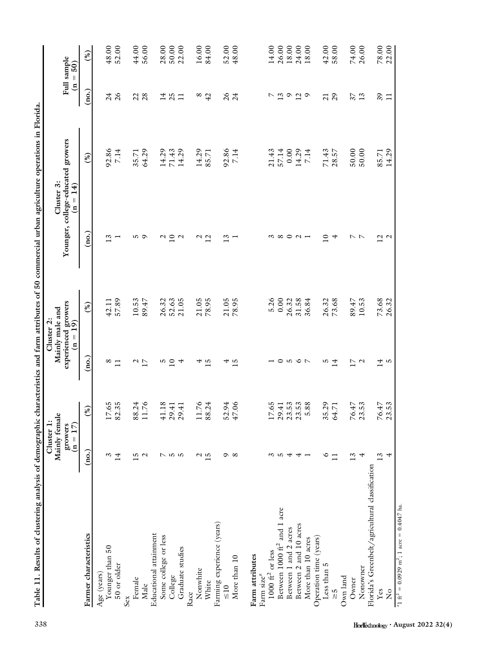| The Tree and Sections of the complete of the control of the control of the control of the control of the control of the control of the control of the control of the control of the control of the control of the control of t | Cluster 1:                             |                                                                |                        | Cluster 2:                                                                                  |                        | respectively and ratin attributes or so commercial dividends operations in riotida. |                        |                           |
|--------------------------------------------------------------------------------------------------------------------------------------------------------------------------------------------------------------------------------|----------------------------------------|----------------------------------------------------------------|------------------------|---------------------------------------------------------------------------------------------|------------------------|-------------------------------------------------------------------------------------|------------------------|---------------------------|
|                                                                                                                                                                                                                                | Mainly female<br>$(n = 17)$<br>growers |                                                                |                        | $\begin{array}{c} \text{expected groups} \\ \text{(n = 19)} \end{array}$<br>Mainly male and |                        | Younger, college-educated growers<br>Cluster 3:<br>$(n = 14)$                       |                        | Full sample<br>$(n = 50)$ |
| Farmer characteristics                                                                                                                                                                                                         | (ao.)                                  | (%)                                                            | $\overline{a}$         | (%)                                                                                         | (no.)                  | (%)                                                                                 | (no.)                  | (%)                       |
| Age (years)                                                                                                                                                                                                                    |                                        |                                                                |                        |                                                                                             |                        |                                                                                     |                        |                           |
| Younger than 50                                                                                                                                                                                                                | $\omega$                               |                                                                | ∞                      | 42.11                                                                                       | 13                     | 92.86                                                                               | 24                     | 48.00                     |
| $50$ or older                                                                                                                                                                                                                  | 14                                     | $17.65$<br>82.35                                               | $\Box$                 | 57.89                                                                                       |                        | 7.14                                                                                | $\delta$               | 52.00                     |
| Sex                                                                                                                                                                                                                            |                                        |                                                                |                        |                                                                                             |                        |                                                                                     |                        |                           |
| Female                                                                                                                                                                                                                         | w                                      | 88.24                                                          | $\mathcal{L}$          | 10.53                                                                                       | w                      | 35.71                                                                               | 22                     | 44.00                     |
| Male                                                                                                                                                                                                                           | $\mathbf{\Omega}$                      | 11.76                                                          | $\overline{17}$        | 89.47                                                                                       | $\circ$                | 64.29                                                                               | 28                     | 56.00                     |
| Educational attainment                                                                                                                                                                                                         |                                        |                                                                |                        |                                                                                             |                        |                                                                                     |                        |                           |
| Some college or less                                                                                                                                                                                                           | $\overline{C}$                         | 41.18                                                          | w                      | 26.32                                                                                       | $\mathcal{C}$          | 14.29                                                                               | 14                     | 28.00                     |
| College                                                                                                                                                                                                                        |                                        | 29.41                                                          | $\overline{10}$        | 52.63                                                                                       | $\overline{10}$        | 71.43                                                                               | 25                     | 50.00                     |
| Graduate studies                                                                                                                                                                                                               | ro ro                                  | 29.41                                                          | 4                      | 21.05                                                                                       | $\mathbf{\mathcal{L}}$ | 14.29                                                                               | $\Box$                 | 22.00                     |
| Race                                                                                                                                                                                                                           |                                        |                                                                |                        |                                                                                             |                        |                                                                                     |                        |                           |
| Nonwhite                                                                                                                                                                                                                       |                                        | 11.76                                                          | 4                      | 21.05                                                                                       | $\mathcal{L}$          | 14.29                                                                               | $^{\circ}$             | 16.00                     |
| White                                                                                                                                                                                                                          | $\frac{2}{15}$                         | 88.24                                                          | 15                     | 78.95                                                                                       | 12                     | 85.71                                                                               | 42                     | 84.00                     |
| Farming experience (years)                                                                                                                                                                                                     |                                        |                                                                |                        |                                                                                             |                        |                                                                                     |                        |                           |
| $\leq 10$                                                                                                                                                                                                                      |                                        | 52.94                                                          | 4                      | 21.05                                                                                       | 13                     | 92.86                                                                               | $\delta$               | 52.00                     |
| More than 10                                                                                                                                                                                                                   | $\infty$                               | 47.06                                                          | 15                     | 78.95                                                                                       |                        | 7.14                                                                                | 24                     | 48.00                     |
|                                                                                                                                                                                                                                |                                        |                                                                |                        |                                                                                             |                        |                                                                                     |                        |                           |
| Farm attributes                                                                                                                                                                                                                |                                        |                                                                |                        |                                                                                             |                        |                                                                                     |                        |                           |
| Farm size <sup>z</sup>                                                                                                                                                                                                         |                                        |                                                                |                        |                                                                                             |                        |                                                                                     |                        |                           |
| $1000~\mathrm{ft}^2$ or less                                                                                                                                                                                                   | S                                      | 17.65                                                          |                        | 5.26                                                                                        | S                      | 21.43                                                                               | ↖                      | 14.00                     |
| Between 1000 $\mathrm{ft}^2$ and 1 acre                                                                                                                                                                                        | ro                                     | $\begin{array}{c} 29.41 \\ 23.53 \\ 23.53 \\ 5.88 \end{array}$ | 0                      | 0.00                                                                                        | $\infty$               | 57.14                                                                               | $\overline{c}$ $\circ$ | 26.00                     |
| Between 1 and 2 acres                                                                                                                                                                                                          | 4                                      |                                                                | ro                     | 26.32                                                                                       |                        | 0.00                                                                                |                        | 18.00                     |
| Between 2 and 10 acres                                                                                                                                                                                                         | 4                                      |                                                                | $\circ$ $\sim$         | 31.58                                                                                       |                        | 14.29                                                                               | $\frac{2}{9}$          | 24.00                     |
| More than 10 acres                                                                                                                                                                                                             |                                        |                                                                |                        | 36.84                                                                                       |                        | 7.14                                                                                |                        | 18.00                     |
| Operation time (years)                                                                                                                                                                                                         |                                        |                                                                |                        |                                                                                             |                        |                                                                                     |                        |                           |
| Less than 5                                                                                                                                                                                                                    | ∘                                      | 35.29                                                          | w                      | 26.32                                                                                       | $\Xi$                  | 71.43                                                                               | $\overline{21}$        | 42.00                     |
| $\frac{5}{10}$                                                                                                                                                                                                                 | $\Box$                                 | 64.71                                                          | 14                     | 73.68                                                                                       | 4                      | 28.57                                                                               | 29                     | 58.00                     |
| Own land                                                                                                                                                                                                                       |                                        |                                                                |                        |                                                                                             |                        |                                                                                     |                        |                           |
| Owner                                                                                                                                                                                                                          | 13                                     |                                                                | $\overline{17}$        | 89.47                                                                                       | トト                     | 50.00                                                                               | 37                     | 74.00                     |
| Nonowner                                                                                                                                                                                                                       | 4                                      | 76.47<br>23.53                                                 | $\mathbf{\mathcal{L}}$ | 10.53                                                                                       |                        | 50.00                                                                               | 13                     | 26.00                     |
| Florida's Greenbelt/agricultural classification                                                                                                                                                                                |                                        |                                                                |                        |                                                                                             |                        |                                                                                     |                        |                           |
| $\mathbf{Yes}$                                                                                                                                                                                                                 | 13                                     | 76.47                                                          | $\overline{4}$         | 73.68                                                                                       |                        | 85.71                                                                               | 89                     | 78.00                     |
| $\frac{1}{2}$                                                                                                                                                                                                                  | 4                                      | 23.53                                                          | ro                     | 26.32                                                                                       | $\frac{2}{1}$          | 14.29                                                                               | $\Box$                 | 22.00                     |
| $^{2}$ 1 ft <sup>2</sup> = 0.0929 m <sup>2</sup> ; 1 acre = 0.4047 ha.                                                                                                                                                         |                                        |                                                                |                        |                                                                                             |                        |                                                                                     |                        |                           |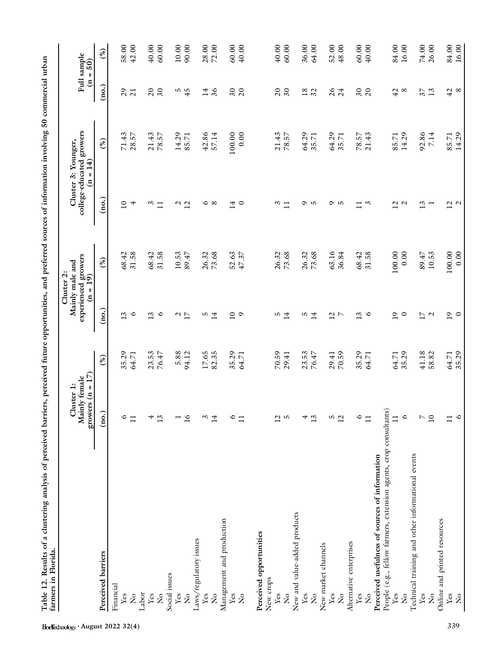| farmers in Florida.                                               |                                                   |                  |                 | Cluster 2:                                           |                   |                                                               |                             |                       |
|-------------------------------------------------------------------|---------------------------------------------------|------------------|-----------------|------------------------------------------------------|-------------------|---------------------------------------------------------------|-----------------------------|-----------------------|
|                                                                   | growers $(n = 17)$<br>Mainly female<br>Cluster 1: |                  |                 | experienced growers<br>$(n = 19)$<br>Mainly male and |                   | college-educated growers<br>Cluster 3: Younger,<br>$(n = 14)$ | $\mathbf{a}$                | Full sample<br>$= 50$ |
| Perceived barriers                                                | $\overline{\text{(no.)}}$                         | (%)              | (no.)           | (%)                                                  | (no.)             | (%)                                                           | $\overline{\text{no.}}$     | (%)                   |
| Financial                                                         |                                                   |                  |                 |                                                      |                   |                                                               |                             |                       |
| ${\it Yes}$                                                       | ७                                                 | 35.29            | 13              | 68.42                                                | $\overline{10}$   | 71.43                                                         | $\mathcal{L}^{\mathcal{O}}$ | 58.00                 |
| $\tilde{z}$                                                       | $\Box$                                            | 64.71            | $\circ$         | 31.58                                                | 4                 | 28.57                                                         | $\overline{21}$             | 42.00                 |
| Labor                                                             |                                                   |                  |                 |                                                      |                   |                                                               |                             |                       |
| Yes                                                               | 4                                                 | $23.53$<br>76.47 | 13              | 68.42                                                | $\omega$          | 21.43                                                         | $\overline{c}$              | $40.00$               |
| $\mathbf{S}^{\circ}$                                              | 13                                                |                  | $\circ$         | 31.58                                                | $\Box$            | 78.57                                                         | $\overline{\mathcal{E}}$    | 60.00                 |
| Social issues                                                     |                                                   |                  |                 |                                                      |                   |                                                               |                             |                       |
| Yes                                                               |                                                   | 5.88             | $\frac{2}{1}$   | 10.53                                                | $\mathcal{L}$     | 14.29                                                         | $\frac{5}{4}$               | $10.00$               |
| $\tilde{z}$                                                       | $\overline{16}$                                   | 94.12            |                 | 89.47                                                | 12                | 85.71                                                         |                             | 90.00                 |
| Laws/regulatory issues                                            |                                                   |                  |                 |                                                      |                   |                                                               |                             |                       |
| Yes                                                               | $\omega$                                          | $17.65$<br>82.35 | S               | 26.32<br>73.68                                       | ∘                 | 42.86<br>57.14                                                | 14                          | 28.00                 |
| $\mathsf{S}^{\circ}$                                              | 14                                                |                  | 14              |                                                      | $\infty$          |                                                               | $\delta$                    |                       |
| Management and production                                         |                                                   |                  |                 |                                                      |                   |                                                               |                             |                       |
| Yes                                                               | $\circ$                                           | 35.29            | $\overline{10}$ | 52.63<br>47.37                                       | 14                | 100.00                                                        | $\sqrt{2}$                  | 60.00                 |
| $\frac{1}{2}$                                                     | $\Box$                                            | 64.71            | $\circ$         |                                                      | ∊                 | 0.00                                                          | $\overline{c}$              | 40.00                 |
|                                                                   |                                                   |                  |                 |                                                      |                   |                                                               |                             |                       |
| Perceived opportunities                                           |                                                   |                  |                 |                                                      |                   |                                                               |                             |                       |
| New crops                                                         |                                                   |                  |                 |                                                      |                   |                                                               |                             |                       |
| Yes                                                               | $\overline{12}$                                   | 70.59            | ъ               | 26.32                                                | $\omega$          | 21.43                                                         | $\overline{c}$              | 40.00                 |
| $\mathcal{L}^{\circ}$                                             | ro                                                | 29.41            | 14              | 73.68                                                |                   | 78.57                                                         | $\overline{\mathcal{E}}$    | 60.00                 |
| New and value-added products                                      |                                                   |                  |                 |                                                      |                   |                                                               |                             |                       |
| $\mathbf{Yes}$                                                    | 4                                                 | 23.53            | 5               | 26.32                                                | ᡋ                 | 64.29                                                         | 18 <sub>32</sub>            | 36.00                 |
| $\mathbf{z}^{\circ}$                                              | 13                                                | 76.47            | 14              | 73.68                                                | r.                | 35.71                                                         |                             | 64.00                 |
| New market channels                                               |                                                   |                  |                 |                                                      |                   |                                                               |                             |                       |
| Yes                                                               |                                                   | 29.41            | $\frac{2}{7}$   | 63.16                                                | ᡋ                 | 64.29                                                         | 26                          | 52.00                 |
| $\frac{1}{2}$                                                     | $\frac{5}{2}$                                     | 70.59            |                 | 36.84                                                | r.                | 35.71                                                         | 24                          | 48.00                 |
| Alternative enterprises                                           |                                                   |                  |                 |                                                      |                   |                                                               |                             |                       |
| ${\bf Yes}$                                                       | ∘                                                 |                  | $\frac{3}{6}$   | 68.42                                                |                   | 78.57                                                         |                             | 60.00                 |
| $\tilde{z}$                                                       | $\mathbf{1}$                                      | 35.29<br>64.71   |                 | 31.58                                                | $\omega$          | 21.43                                                         | $\frac{20}{20}$             | 40.00                 |
| Perceived usefulness of sources of information                    |                                                   |                  |                 |                                                      |                   |                                                               |                             |                       |
| People (e.g., fellow farmers, extension agents, crop consultants) |                                                   |                  |                 |                                                      |                   |                                                               |                             |                       |
| Yes                                                               | $\Box$                                            | 64.71            | $\overline{19}$ | 100.00                                               | $\overline{12}$   | 85.71                                                         | $42$ $8$                    | 84.00                 |
| $\tilde{z}$                                                       | $\circ$                                           | 35.29            | $\circ$         | 0.00                                                 | $\mathbf{\Omega}$ | 14.29                                                         |                             | 16.00                 |
| Technical training and other informational events                 |                                                   |                  |                 |                                                      |                   |                                                               |                             |                       |
| Yes                                                               | $\overline{C}$                                    | 41.18            | 17              | 89.47                                                | 13                | 92.86                                                         | 37                          | 74.00                 |
| $\frac{1}{2}$                                                     | $\overline{10}$                                   | 58.82            | $\mathcal{L}$   | 10.53                                                |                   | 7.14                                                          | 13                          | 26.00                 |
| Online and printed resources                                      |                                                   |                  |                 |                                                      |                   |                                                               |                             |                       |
| Yes                                                               | $\Box$                                            | 64.71<br>35.29   | $\overline{1}$  | 100.00                                               | $\frac{2}{3}$     | 85.71<br>14.29                                                | $42$ $\,$ $\,$              | 84.00                 |
| $\frac{1}{2}$                                                     | $\circ$                                           |                  | $\circ$         | 0.00                                                 |                   |                                                               |                             | 16.00                 |

Table 12. Results of a clustering analysis of perceived barriers, perceived future opportunities, and preferred sources of information involving 50 commercial urban Table 12. Results of a clustering analysis of perceived barriers, perceived future opportunities, and preferred sources of information involving 50 commercial urban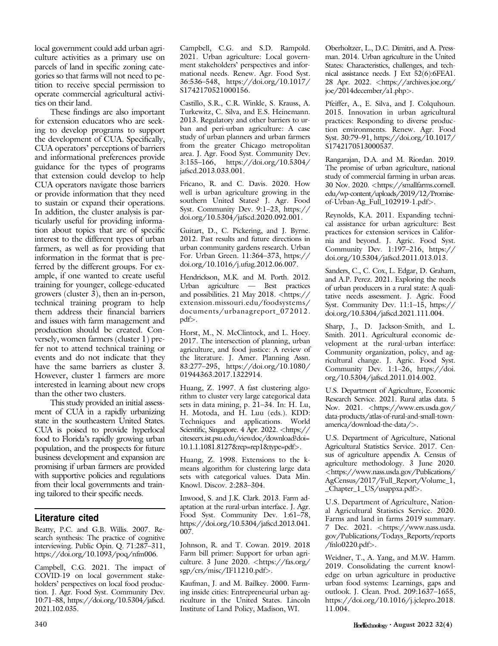local government could add urban agriculture activities as a primary use on parcels of land in specific zoning categories so that farms will not need to petition to receive special permission to operate commercial agricultural activities on their land.

These findings are also important for extension educators who are seeking to develop programs to support the development of CUA. Specifically, CUA operators' perceptions of barriers and informational preferences provide guidance for the types of programs that extension could develop to help CUA operators navigate those barriers or provide information that they need to sustain or expand their operations. In addition, the cluster analysis is particularly useful for providing information about topics that are of specific interest to the different types of urban farmers, as well as for providing that information in the format that is preferred by the different groups. For example, if one wanted to create useful training for younger, college-educated growers (cluster 3), then an in-person, technical training program to help them address their financial barriers and issues with farm management and production should be created. Conversely, women farmers (cluster 1) prefer not to attend technical training or events and do not indicate that they have the same barriers as cluster 3. However, cluster 1 farmers are more interested in learning about new crops than the other two clusters.

This study provided an initial assessment of CUA in a rapidly urbanizing state in the southeastern United States. CUA is poised to provide hyperlocal food to Florida's rapidly growing urban population, and the prospects for future business development and expansion are promising if urban farmers are provided with supportive policies and regulations from their local governments and training tailored to their specific needs.

## Literature cited

Beatty, P.C. and G.B. Willis. 2007. Research synthesis: The practice of cognitive interviewing. Public Opin. Q. 71:287–311, <https://doi.org/10.1093/poq/nfm006>.

Campbell, C.G. 2021. The impact of COVID-19 on local government stakeholders' perspectives on local food production. J. Agr. Food Syst. Community Dev. 10:71–88, [https://doi.org/10.5304/jafscd.](https://doi.org/10.5304/jafscd.2021.102.035) [2021.102.035.](https://doi.org/10.5304/jafscd.2021.102.035)

Campbell, C.G. and S.D. Rampold. 2021. Urban agriculture: Local government stakeholders' perspectives and informational needs. Renew. Agr. Food Syst. 36:536–548, [https://doi.org/10.1017/](https://doi.org/10.1017/S1742170521000156) [S1742170521000156.](https://doi.org/10.1017/S1742170521000156)

Castillo, S.R., C.R. Winkle, S. Krauss, A. Turkewitz, C. Silva, and E.S. Heinemann. 2013. Regulatory and other barriers to urban and peri-urban agriculture: A case study of urban planners and urban farmers from the greater Chicago metropolitan area. J. Agr. Food Syst. Community Dev. 3:155–166, [https://doi.org/10.5304/](https://doi.org/10.5304/jafscd.2013.033.001) [jafscd.2013.033.001](https://doi.org/10.5304/jafscd.2013.033.001).

Fricano, R. and C. Davis. 2020. How well is urban agriculture growing in the southern United States? J. Agr. Food Syst. Community Dev. 9:1–23, [https://](https://doi.org/10.5304/jafscd.2020.092.001) [doi.org/10.5304/jafscd.2020.092.001](https://doi.org/10.5304/jafscd.2020.092.001).

Guitart, D., C. Pickering, and J. Byrne. 2012. Past results and future directions in urban community gardens research. Urban For. Urban Green. 11:364–373, [https://](https://doi.org/10.1016/j.ufug.2012.06.007) [doi.org/10.1016/j.ufug.2012.06.007](https://doi.org/10.1016/j.ufug.2012.06.007).

Hendrickson, M.K. and M. Porth. 2012. Urban agriculture — Best practices and possibilities. 21 May 2018. <[https://](https://extension.missouri.edu/foodsystems/documents/urbanagreport_072012.pdf) [extension.missouri.edu/foodsystems/](https://extension.missouri.edu/foodsystems/documents/urbanagreport_072012.pdf) [documents/urbanagreport\\_072012.](https://extension.missouri.edu/foodsystems/documents/urbanagreport_072012.pdf) [pdf](https://extension.missouri.edu/foodsystems/documents/urbanagreport_072012.pdf)>.

Horst, M., N. McClintock, and L. Hoey. 2017. The intersection of planning, urban agriculture, and food justice: A review of the literature. J. Amer. Planning Assn. 83:277–295, [https://doi.org/10.1080/](https://doi.org/10.1080/01944363.2017.1322914) [01944363.2017.1322914.](https://doi.org/10.1080/01944363.2017.1322914)

Huang, Z. 1997. A fast clustering algorithm to cluster very large categorical data sets in data mining, p. 21–34. In: H. Lu, H. Motoda, and H. Luu (eds.). KDD: Techniques and applications. World Scientific, Singapore. 4 Apr. 2022. <[https://](https://citeseerx.ist.psu.edu/viewdoc/download?doi&hx003D;10.1.1.1081.8127&hx0026;rep&hx003D;rep1&hx0026;type&hx003D;pdf) [citeseerx.ist.psu.edu/viewdoc/download?doi=](https://citeseerx.ist.psu.edu/viewdoc/download?doi&hx003D;10.1.1.1081.8127&hx0026;rep&hx003D;rep1&hx0026;type&hx003D;pdf) [10.1.1.1081.8127&rep=rep1&type=pdf](https://citeseerx.ist.psu.edu/viewdoc/download?doi&hx003D;10.1.1.1081.8127&hx0026;rep&hx003D;rep1&hx0026;type&hx003D;pdf)>.

Huang, Z. 1998. Extensions to the kmeans algorithm for clustering large data sets with categorical values. Data Min. Knowl. Discov. 2:283–304.

Inwood, S. and J.K. Clark. 2013. Farm adaptation at the rural-urban interface. J. Agr. Food Syst. Community Dev. 1:61–78, [https://doi.org/10.5304/jafscd.2013.041.](https://doi.org/10.5304/jafscd.2013.041.007) [007](https://doi.org/10.5304/jafscd.2013.041.007).

Johnson, R. and T. Cowan. 2019. 2018 Farm bill primer: Support for urban agriculture. 3 June 2020. <[https://fas.org/](https://fas.org/sgp/crs/misc/IF11210.pdf) [sgp/crs/misc/IF11210.pdf](https://fas.org/sgp/crs/misc/IF11210.pdf)>.

Kaufman, J. and M. Bailkey. 2000. Farming inside cities: Entrepreneurial urban agriculture in the United States. Lincoln Institute of Land Policy, Madison, WI.

Oberholtzer, L., D.C. Dimitri, and A. Pressman. 2014. Urban agriculture in the United States: Characteristics, challenges, and technical assistance needs. J Ext 52(6):6FEA1. 28 Apr. 2022. <[https://archives.joe.org/](https://archives.joe.org/joe/2014december/a1.php) [joe/2014december/a1.php](https://archives.joe.org/joe/2014december/a1.php)>.

Pfeiffer, A., E. Silva, and J. Colquhoun. 2015. Innovation in urban agricultural practices: Responding to diverse production environments. Renew. Agr. Food Syst. 30:79–91, [https://doi.org/10.1017/](https://doi.org/10.1017/S1742170513000537) [S1742170513000537](https://doi.org/10.1017/S1742170513000537).

Rangarajan, D.A. and M. Riordan. 2019. The promise of urban agriculture, national study of commercial farming in urban areas. 30 Nov. 2020. <[https://smallfarms.cornell.](https://smallfarms.cornell.edu/wp-content/uploads/2019/12/Promise-of-Urban-Ag_Full_102919-1.pdf) [edu/wp-content/uploads/2019/12/Promise](https://smallfarms.cornell.edu/wp-content/uploads/2019/12/Promise-of-Urban-Ag_Full_102919-1.pdf)[of-Urban-Ag\\_Full\\_102919-1.pdf](https://smallfarms.cornell.edu/wp-content/uploads/2019/12/Promise-of-Urban-Ag_Full_102919-1.pdf)>.

Reynolds, K.A. 2011. Expanding technical assistance for urban agriculture: Best practices for extension services in California and beyond. J. Agric. Food Syst. Community Dev. 1:197–216, [https://](https://doi.org/10.5304/jafscd.2011.013.013) [doi.org/10.5304/jafscd.2011.013.013](https://doi.org/10.5304/jafscd.2011.013.013).

Sanders, C., C. Cox, L. Edgar, D. Graham, and A.P. Perez. 2021. Exploring the needs of urban producers in a rural state: A qualitative needs assessment. J. Agric. Food Syst. Community Dev. 11:1–15, [https://](https://doi.org/10.5304/jafscd.2021.111.004) [doi.org/10.5304/jafscd.2021.111.004.](https://doi.org/10.5304/jafscd.2021.111.004)

Sharp, J., D. Jackson-Smith, and L. Smith. 2011. Agricultural economic development at the rural-urban interface: Community organization, policy, and agricultural change. J. Agric. Food Syst. Community Dev. 1:1–26, [https://doi.](https://doi.org/10.5304/jafscd.2011.014.002) [org/10.5304/jafscd.2011.014.002.](https://doi.org/10.5304/jafscd.2011.014.002)

U.S. Department of Agriculture, Economic Research Service. 2021. Rural atlas data. 5 Nov. 2021. < [https://www.ers.usda.gov/](https://www.ers.usda.gov/data-products/atlas-of-rural-and-small-town-america/download-the-data/) [data-products/atlas-of-rural-and-small-town](https://www.ers.usda.gov/data-products/atlas-of-rural-and-small-town-america/download-the-data/)[america/download-the-data/](https://www.ers.usda.gov/data-products/atlas-of-rural-and-small-town-america/download-the-data/)>.

U.S. Department of Agriculture, National Agricultural Statistics Service. 2017. Census of agriculture appendix A. Census of agriculture methodology. 3 June 2020. <[https://www.nass.usda.gov/Publications/](https://www.nass.usda.gov/Publications/AgCensus/2017/Full_Report/Volume_1,_Chapter_1_US/usappxa.pdf) [AgCensus/2017/Full\\_Report/Volume\\_1,](https://www.nass.usda.gov/Publications/AgCensus/2017/Full_Report/Volume_1,_Chapter_1_US/usappxa.pdf) [\\_Chapter\\_1\\_US/usappxa.pdf](https://www.nass.usda.gov/Publications/AgCensus/2017/Full_Report/Volume_1,_Chapter_1_US/usappxa.pdf)>.

U.S. Department of Agriculture, National Agricultural Statistics Service. 2020. Farms and land in farms 2019 summary. 7 Dec. 2021. <[https://www.nass.usda.](https://www.nass.usda.gov/Publications/Todays_Reports/reports/fnlo0220.pdf) [gov/Publications/Todays\\_Reports/reports](https://www.nass.usda.gov/Publications/Todays_Reports/reports/fnlo0220.pdf)  $/$ fnlo0220.pdf $>$ .

Weidner, T., A. Yang, and M.W. Hamm. 2019. Consolidating the current knowledge on urban agriculture in productive urban food systems: Learnings, gaps and outlook. J. Clean. Prod. 209:1637–1655, [https://doi.org/10.1016/j.jclepro.2018.](https://doi.org/10.1016/j.jclepro.2018.11.004) [11.004](https://doi.org/10.1016/j.jclepro.2018.11.004).